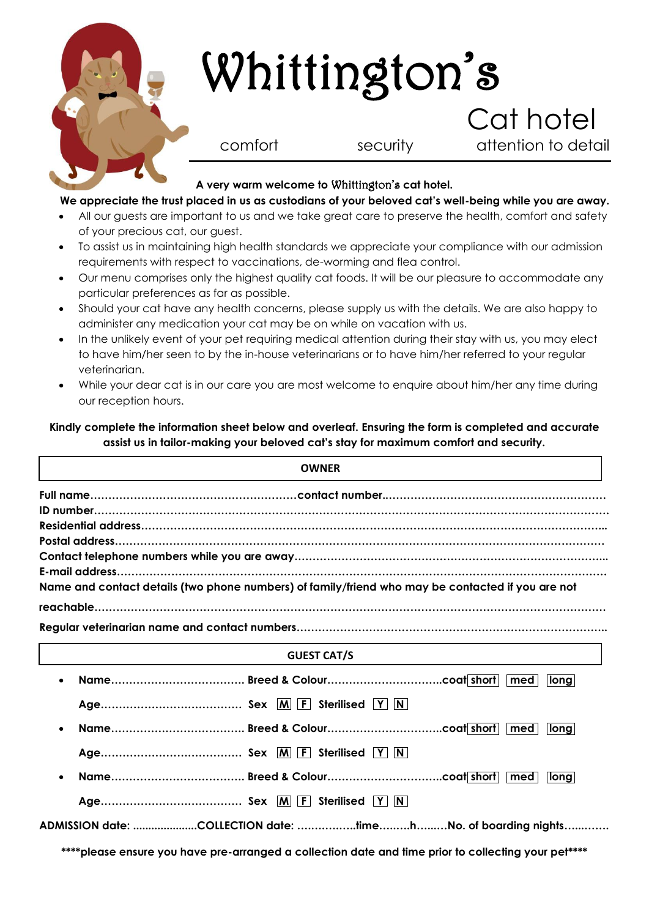

# Whittington's

 Cat hotel comfort security attention to detail

## **A very warm welcome to** Whittington's **cat hotel.**

## **We appreciate the trust placed in us as custodians of your beloved cat's well-being while you are away.**

- All our guests are important to us and we take great care to preserve the health, comfort and safety of your precious cat, our guest.
- To assist us in maintaining high health standards we appreciate your compliance with our admission requirements with respect to vaccinations, de-worming and flea control.
- Our menu comprises only the highest quality cat foods. It will be our pleasure to accommodate any particular preferences as far as possible.
- Should your cat have any health concerns, please supply us with the details. We are also happy to administer any medication your cat may be on while on vacation with us.
- In the unlikely event of your pet requiring medical attention during their stay with us, you may elect to have him/her seen to by the in-house veterinarians or to have him/her referred to your regular veterinarian.
- While your dear cat is in our care you are most welcome to enquire about him/her any time during our reception hours.

## **Kindly complete the information sheet below and overleaf. Ensuring the form is completed and accurate assist us in tailor-making your beloved cat's stay for maximum comfort and security.**

| <b>OWNER</b>                                                                                      |
|---------------------------------------------------------------------------------------------------|
|                                                                                                   |
|                                                                                                   |
|                                                                                                   |
|                                                                                                   |
|                                                                                                   |
| E-mail address.                                                                                   |
| Name and contact details (two phone numbers) of family/friend who may be contacted if you are not |
|                                                                                                   |
|                                                                                                   |
| <b>GUEST CAT/S</b>                                                                                |
| long<br>med<br>$\bullet$                                                                          |
|                                                                                                   |
| med l<br><b>llona</b><br>$\bullet$                                                                |
|                                                                                                   |
| med l<br>long<br>$\bullet$                                                                        |
|                                                                                                   |

**ADMISSION date: .....................COLLECTION date: ….….….…..time…..….h…...…No. of boarding nights…...…….**

**\*\*\*\*please ensure you have pre-arranged a collection date and time prior to collecting your pet\*\*\*\***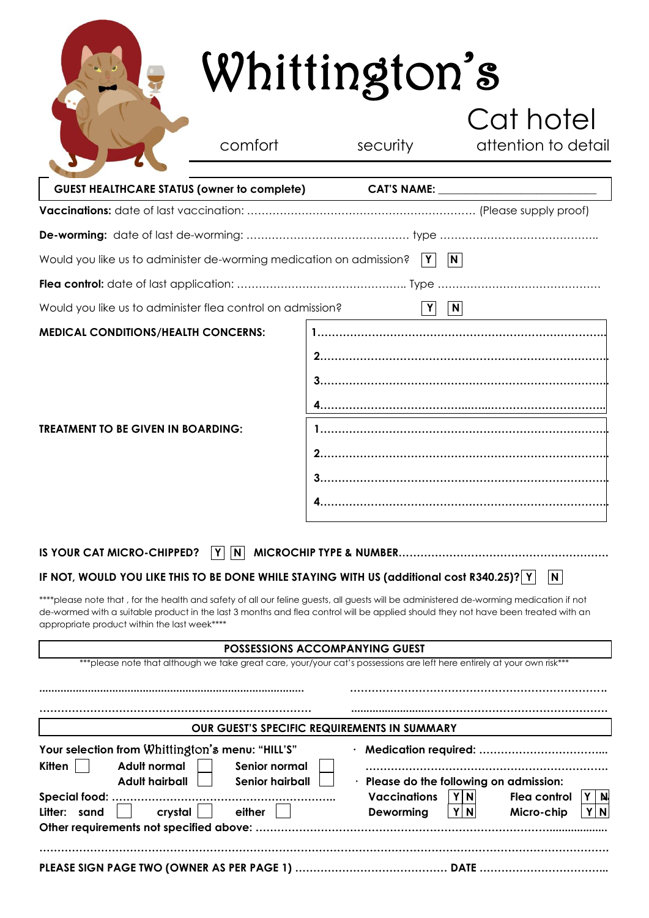|                                                                                                                                                                                                                                                                                                                                                                                                                             |                                                   | Whittington's                                                                                                                                                     | Cat hotel                                                                                                             |  |
|-----------------------------------------------------------------------------------------------------------------------------------------------------------------------------------------------------------------------------------------------------------------------------------------------------------------------------------------------------------------------------------------------------------------------------|---------------------------------------------------|-------------------------------------------------------------------------------------------------------------------------------------------------------------------|-----------------------------------------------------------------------------------------------------------------------|--|
|                                                                                                                                                                                                                                                                                                                                                                                                                             | comfort                                           | security                                                                                                                                                          | attention to detail                                                                                                   |  |
| GUEST HEALTHCARE STATUS (owner to complete)                                                                                                                                                                                                                                                                                                                                                                                 |                                                   |                                                                                                                                                                   |                                                                                                                       |  |
|                                                                                                                                                                                                                                                                                                                                                                                                                             |                                                   |                                                                                                                                                                   |                                                                                                                       |  |
|                                                                                                                                                                                                                                                                                                                                                                                                                             |                                                   |                                                                                                                                                                   |                                                                                                                       |  |
| Would you like us to administer de-worming medication on admission?                                                                                                                                                                                                                                                                                                                                                         |                                                   | Y                                                                                                                                                                 | N                                                                                                                     |  |
|                                                                                                                                                                                                                                                                                                                                                                                                                             |                                                   |                                                                                                                                                                   |                                                                                                                       |  |
| Would you like us to administer flea control on admission?                                                                                                                                                                                                                                                                                                                                                                  |                                                   | Y                                                                                                                                                                 | $\mathbf{N}$                                                                                                          |  |
| <b>MEDICAL CONDITIONS/HEALTH CONCERNS:</b>                                                                                                                                                                                                                                                                                                                                                                                  |                                                   |                                                                                                                                                                   |                                                                                                                       |  |
| <b>TREATMENT TO BE GIVEN IN BOARDING:</b>                                                                                                                                                                                                                                                                                                                                                                                   |                                                   |                                                                                                                                                                   |                                                                                                                       |  |
| IS YOUR CAT MICRO-CHIPPED?                                                                                                                                                                                                                                                                                                                                                                                                  | $\mathsf{N}$<br>Y                                 |                                                                                                                                                                   |                                                                                                                       |  |
| IF NOT, WOULD YOU LIKE THIS TO BE DONE WHILE STAYING WITH US (additional cost R340.25)?   Y<br>****please note that , for the health and safety of all our feline guests, all guests will be administered de-worming medication if not<br>de-wormed with a suitable product in the last 3 months and flea control will be applied should they not have been treated with an<br>appropriate product within the last week**** |                                                   |                                                                                                                                                                   | N                                                                                                                     |  |
|                                                                                                                                                                                                                                                                                                                                                                                                                             |                                                   | <b>POSSESSIONS ACCOMPANYING GUEST</b><br>*** please note that although we take great care, your/your cat's possessions are left here entirely at your own risk*** |                                                                                                                       |  |
|                                                                                                                                                                                                                                                                                                                                                                                                                             |                                                   |                                                                                                                                                                   |                                                                                                                       |  |
|                                                                                                                                                                                                                                                                                                                                                                                                                             |                                                   |                                                                                                                                                                   |                                                                                                                       |  |
|                                                                                                                                                                                                                                                                                                                                                                                                                             |                                                   | OUR GUEST'S SPECIFIC REQUIREMENTS IN SUMMARY                                                                                                                      |                                                                                                                       |  |
| Your selection from Whittington's menu: "HILL'S"<br>Adult normal<br>Kitten<br><b>Adult hairball</b><br>Special food:<br>Litter: sand<br>crystal                                                                                                                                                                                                                                                                             | Senior normal<br><b>Senior hairball</b><br>either | <b>Vaccinations</b><br>Deworming                                                                                                                                  | · Please do the following on admission:<br>Flea control<br>Y∥N<br>Y<br>N.<br>Y<br>$\mathbf N$<br>Micro-chip<br>N<br>Y |  |
|                                                                                                                                                                                                                                                                                                                                                                                                                             |                                                   |                                                                                                                                                                   |                                                                                                                       |  |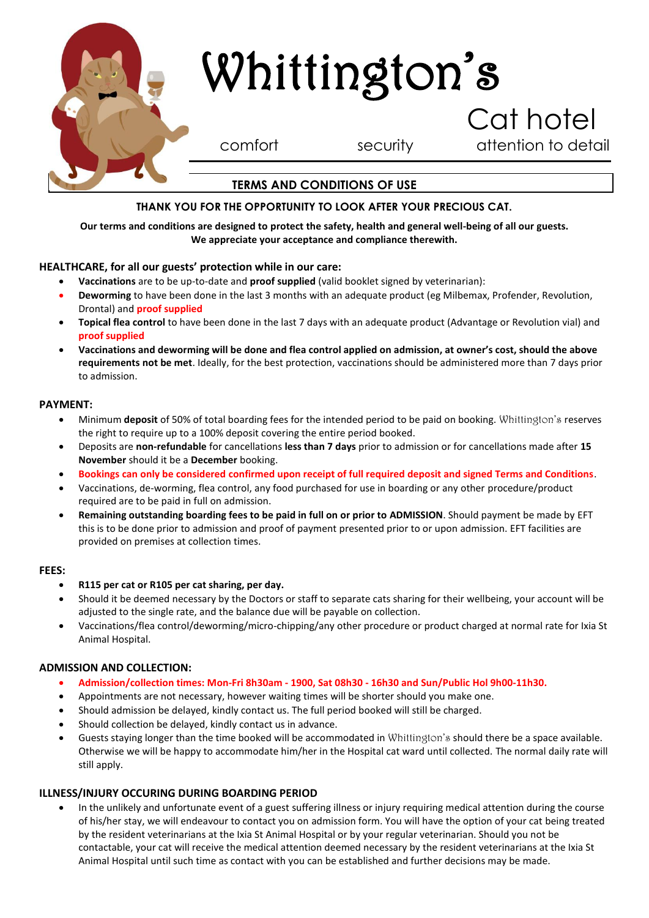

#### **THANK YOU FOR THE OPPORTUNITY TO LOOK AFTER YOUR PRECIOUS CAT.**

#### **Our terms and conditions are designed to protect the safety, health and general well-being of all our guests. We appreciate your acceptance and compliance therewith.**

#### **HEALTHCARE, for all our guests' protection while in our care:**

- **Vaccinations** are to be up-to-date and **proof supplied** (valid booklet signed by veterinarian):
- **Deworming** to have been done in the last 3 months with an adequate product (eg Milbemax, Profender, Revolution, Drontal) and **proof supplied**
- **Topical flea control** to have been done in the last 7 days with an adequate product (Advantage or Revolution vial) and **proof supplied**
- **Vaccinations and deworming will be done and flea control applied on admission, at owner's cost, should the above requirements not be met**. Ideally, for the best protection, vaccinations should be administered more than 7 days prior to admission.

#### **PAYMENT:**

- Minimum **deposit** of 50% of total boarding fees for the intended period to be paid on booking. Whittington's reserves the right to require up to a 100% deposit covering the entire period booked.
- Deposits are **non-refundable** for cancellations **less than 7 days** prior to admission or for cancellations made after **15 November** should it be a **December** booking.
- **Bookings can only be considered confirmed upon receipt of full required deposit and signed Terms and Conditions**.
- Vaccinations, de-worming, flea control, any food purchased for use in boarding or any other procedure/product required are to be paid in full on admission.
- **Remaining outstanding boarding fees to be paid in full on or prior to ADMISSION**. Should payment be made by EFT this is to be done prior to admission and proof of payment presented prior to or upon admission. EFT facilities are provided on premises at collection times.

#### **FEES:**

- **R115 per cat or R105 per cat sharing, per day.**
- Should it be deemed necessary by the Doctors or staff to separate cats sharing for their wellbeing, your account will be adjusted to the single rate, and the balance due will be payable on collection.
- Vaccinations/flea control/deworming/micro-chipping/any other procedure or product charged at normal rate for Ixia St Animal Hospital.

#### **ADMISSION AND COLLECTION:**

- **Admission/collection times: Mon-Fri 8h30am - 1900, Sat 08h30 - 16h30 and Sun/Public Hol 9h00-11h30.**
- Appointments are not necessary, however waiting times will be shorter should you make one.
- Should admission be delayed, kindly contact us. The full period booked will still be charged.
- Should collection be delayed, kindly contact us in advance.
- Guests staying longer than the time booked will be accommodated in Whittington's should there be a space available. Otherwise we will be happy to accommodate him/her in the Hospital cat ward until collected. The normal daily rate will still apply.

#### **ILLNESS/INJURY OCCURING DURING BOARDING PERIOD**

 In the unlikely and unfortunate event of a guest suffering illness or injury requiring medical attention during the course of his/her stay, we will endeavour to contact you on admission form. You will have the option of your cat being treated by the resident veterinarians at the Ixia St Animal Hospital or by your regular veterinarian. Should you not be contactable, your cat will receive the medical attention deemed necessary by the resident veterinarians at the Ixia St Animal Hospital until such time as contact with you can be established and further decisions may be made.